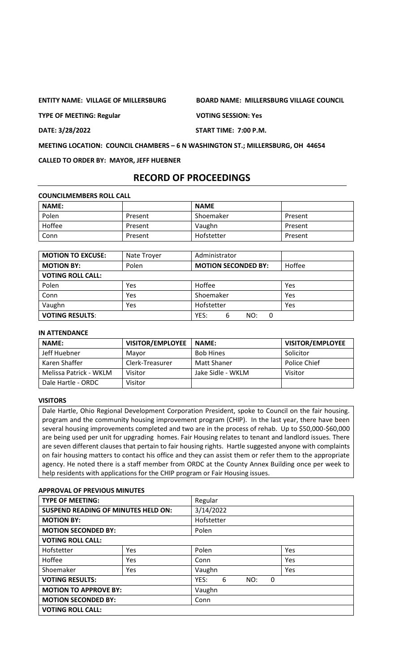**ENTITY NAME: VILLAGE OF MILLERSBURG BOARD NAME: MILLERSBURG VILLAGE COUNCIL**

**TYPE OF MEETING: Regular VOTING SESSION: Yes**

**DATE: 3/28/2022 START TIME: 7:00 P.M.**

**MEETING LOCATION: COUNCIL CHAMBERS – 6 N WASHINGTON ST.; MILLERSBURG, OH 44654**

**CALLED TO ORDER BY: MAYOR, JEFF HUEBNER**

# **RECORD OF PROCEEDINGS**

**COUNCILMEMBERS ROLL CALL**

| <b>NAME:</b> |         | <b>NAME</b> |         |
|--------------|---------|-------------|---------|
| Polen        | Present | Shoemaker   | Present |
| Hoffee       | Present | Vaughn      | Present |
| Conn         | Present | Hofstetter  | Present |

| <b>MOTION TO EXCUSE:</b> | Nate Troyer | Administrator              |        |
|--------------------------|-------------|----------------------------|--------|
| <b>MOTION BY:</b>        | Polen       | <b>MOTION SECONDED BY:</b> | Hoffee |
| <b>VOTING ROLL CALL:</b> |             |                            |        |
| Polen                    | Yes         | Hoffee                     | Yes    |
| Conn                     | Yes         | Shoemaker                  | Yes    |
| Vaughn                   | Yes         | Hofstetter                 | Yes    |
| <b>VOTING RESULTS:</b>   |             | YES:<br>NO:<br>6           |        |

#### **IN ATTENDANCE**

| <b>NAME:</b>           | <b>VISITOR/EMPLOYEE</b> | <b>NAME:</b>      | <b>VISITOR/EMPLOYEE</b> |
|------------------------|-------------------------|-------------------|-------------------------|
| Jeff Huebner           | Mavor                   | <b>Bob Hines</b>  | Solicitor               |
| Karen Shaffer          | Clerk-Treasurer         | Matt Shaner       | <b>Police Chief</b>     |
| Melissa Patrick - WKLM | Visitor                 | Jake Sidle - WKLM | Visitor                 |
| Dale Hartle - ORDC     | Visitor                 |                   |                         |

#### **VISITORS**

Dale Hartle, Ohio Regional Development Corporation President, spoke to Council on the fair housing. program and the community housing improvement program (CHIP). In the last year, there have been several housing improvements completed and two are in the process of rehab. Up to \$50,000-\$60,000 are being used per unit for upgrading homes. Fair Housing relates to tenant and landlord issues. There are seven different clauses that pertain to fair housing rights. Hartle suggested anyone with complaints on fair housing matters to contact his office and they can assist them or refer them to the appropriate agency. He noted there is a staff member from ORDC at the County Annex Building once per week to help residents with applications for the CHIP program or Fair Housing issues.

#### **APPROVAL OF PREVIOUS MINUTES**

| <b>TYPE OF MEETING:</b>                    |     | Regular               |     |  |  |  |
|--------------------------------------------|-----|-----------------------|-----|--|--|--|
| <b>SUSPEND READING OF MINUTES HELD ON:</b> |     | 3/14/2022             |     |  |  |  |
| <b>MOTION BY:</b>                          |     | Hofstetter            |     |  |  |  |
| <b>MOTION SECONDED BY:</b>                 |     | Polen                 |     |  |  |  |
| <b>VOTING ROLL CALL:</b>                   |     |                       |     |  |  |  |
| Hofstetter                                 | Yes | Polen                 | Yes |  |  |  |
| Hoffee                                     | Yes | Conn                  | Yes |  |  |  |
| Shoemaker                                  | Yes | Vaughn                | Yes |  |  |  |
| <b>VOTING RESULTS:</b>                     |     | YES:<br>6<br>NO:<br>0 |     |  |  |  |
| <b>MOTION TO APPROVE BY:</b>               |     | Vaughn                |     |  |  |  |
| <b>MOTION SECONDED BY:</b>                 |     | Conn                  |     |  |  |  |
| <b>VOTING ROLL CALL:</b>                   |     |                       |     |  |  |  |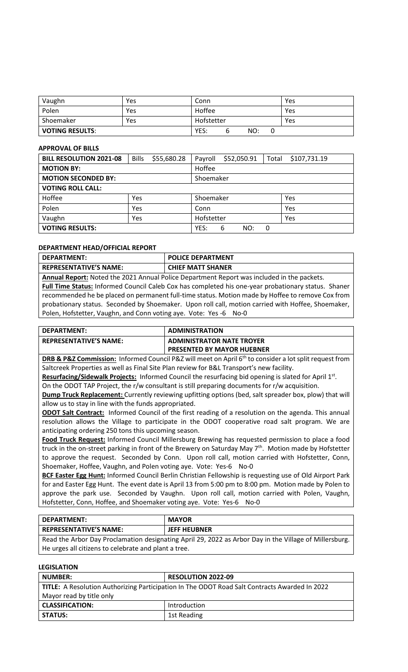| Vaughn                 | Yes | Conn       |   |     |     | Yes |
|------------------------|-----|------------|---|-----|-----|-----|
| Polen                  | Yes | Hoffee     |   |     |     | Yes |
| Shoemaker              | Yes | Hofstetter |   |     | Yes |     |
| <b>VOTING RESULTS:</b> |     | YES:       | h | NO: |     |     |

#### **APPROVAL OF BILLS**

| <b>BILL RESOLUTION 2021-08</b> | <b>Bills</b> | \$55,680.28 | Payroll    | \$52,050.91 | Total | \$107,731.19 |
|--------------------------------|--------------|-------------|------------|-------------|-------|--------------|
| <b>MOTION BY:</b>              |              |             | Hoffee     |             |       |              |
| <b>MOTION SECONDED BY:</b>     |              |             | Shoemaker  |             |       |              |
| <b>VOTING ROLL CALL:</b>       |              |             |            |             |       |              |
| Hoffee                         | Yes          |             | Shoemaker  |             |       | Yes          |
| Polen                          | Yes          |             | Conn       |             |       | Yes          |
| Vaughn                         | Yes          |             | Hofstetter |             |       | Yes          |
| <b>VOTING RESULTS:</b>         |              | YES:        | 6<br>NO:   | 0           |       |              |

#### **DEPARTMENT HEAD/OFFICIAL REPORT**

| DEPARTMENT:                   | <b>POLICE DEPARTMENT</b> |
|-------------------------------|--------------------------|
| <b>REPRESENTATIVE'S NAME:</b> | <b>CHIEF MATT SHANER</b> |

**Annual Report:** Noted the 2021 Annual Police Department Report was included in the packets. **Full Time Status:** Informed Council Caleb Cox has completed his one-year probationary status. Shaner recommended he be placed on permanent full-time status. Motion made by Hoffee to remove Cox from probationary status. Seconded by Shoemaker. Upon roll call, motion carried with Hoffee, Shoemaker, Polen, Hofstetter, Vaughn, and Conn voting aye. Vote: Yes -6 No-0

| DEPARTMENT:                   | <b>ADMINISTRATION</b>             |
|-------------------------------|-----------------------------------|
| <b>REPRESENTATIVE'S NAME:</b> | <b>ADMINISTRATOR NATE TROYER</b>  |
|                               | <b>PRESENTED BY MAYOR HUEBNER</b> |

**DRB & P&Z Commission:** Informed Council P&Z will meet on April 6<sup>th</sup> to consider a lot split request from Saltcreek Properties as well as Final Site Plan review for B&L Transport's new facility.

Resurfacing/Sidewalk Projects: Informed Council the resurfacing bid opening is slated for April 1<sup>st</sup>. On the ODOT TAP Project, the r/w consultant is still preparing documents for r/w acquisition.

**Dump Truck Replacement:** Currently reviewing upfitting options (bed, salt spreader box, plow) that will allow us to stay in line with the funds appropriated.

**ODOT Salt Contract:** Informed Council of the first reading of a resolution on the agenda. This annual resolution allows the Village to participate in the ODOT cooperative road salt program. We are anticipating ordering 250 tons this upcoming season.

**Food Truck Request:** Informed Council Millersburg Brewing has requested permission to place a food truck in the on-street parking in front of the Brewery on Saturday May 7<sup>th</sup>. Motion made by Hofstetter to approve the request. Seconded by Conn. Upon roll call, motion carried with Hofstetter, Conn, Shoemaker, Hoffee, Vaughn, and Polen voting aye. Vote: Yes-6 No-0

**BCF Easter Egg Hunt:** Informed Council Berlin Christian Fellowship is requesting use of Old Airport Park for and Easter Egg Hunt. The event date is April 13 from 5:00 pm to 8:00 pm. Motion made by Polen to approve the park use. Seconded by Vaughn. Upon roll call, motion carried with Polen, Vaughn, Hofstetter, Conn, Hoffee, and Shoemaker voting aye. Vote: Yes-6 No-0

| DEPARTMENT:                   | <b>MAYOR</b>        |
|-------------------------------|---------------------|
| <b>REPRESENTATIVE'S NAME:</b> | <b>JEFF HEUBNER</b> |

Read the Arbor Day Proclamation designating April 29, 2022 as Arbor Day in the Village of Millersburg. He urges all citizens to celebrate and plant a tree.

# **LEGISLATION**

| <b>NUMBER:</b>                                                                                | <b>RESOLUTION 2022-09</b> |  |  |
|-----------------------------------------------------------------------------------------------|---------------------------|--|--|
| TITLE: A Resolution Authorizing Participation In The ODOT Road Salt Contracts Awarded In 2022 |                           |  |  |
| Mayor read by title only                                                                      |                           |  |  |
| <b>CLASSIFICATION:</b>                                                                        | Introduction              |  |  |
| <b>STATUS:</b>                                                                                | 1st Reading               |  |  |